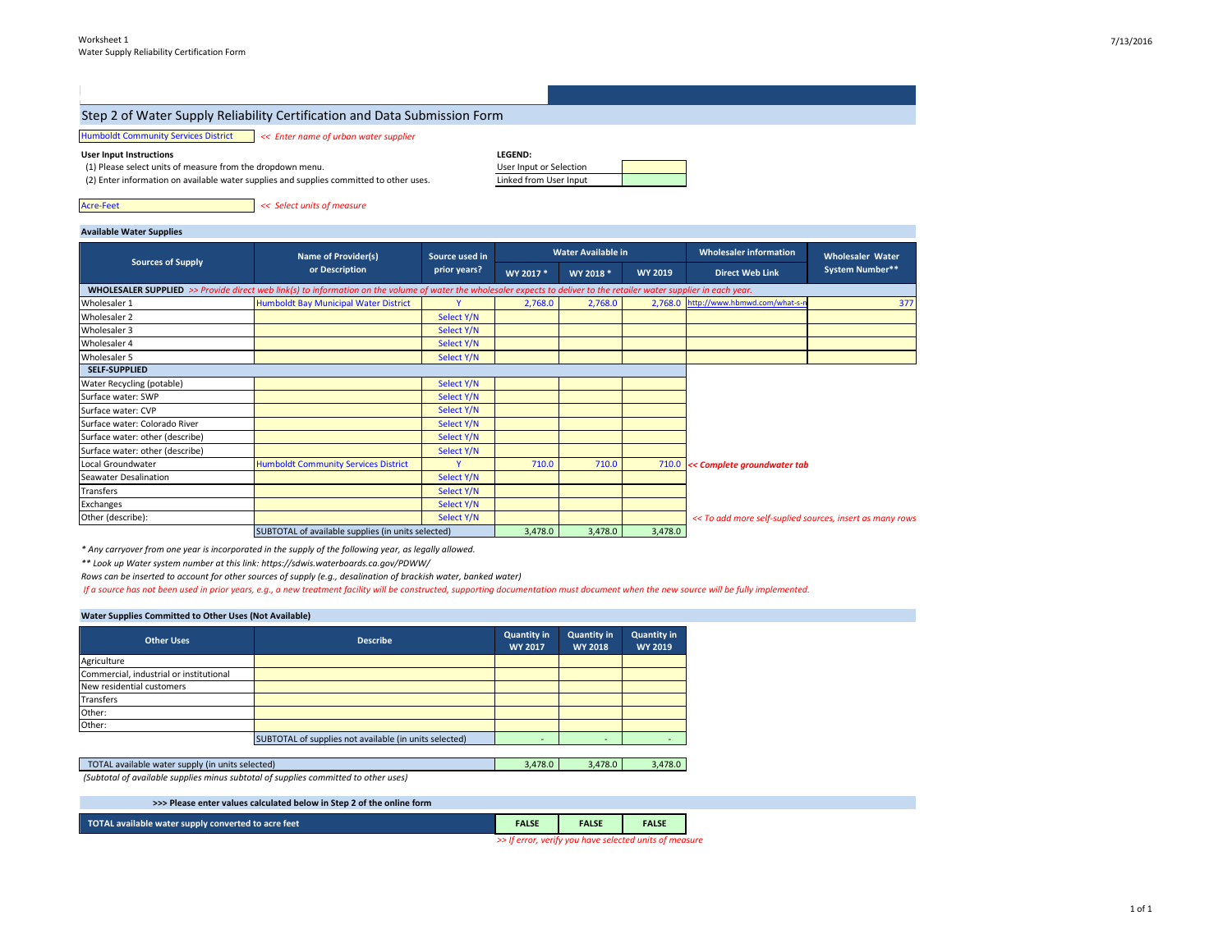#### Step 2 of Water Supply Reliability Certification and Data Submission Form

#### Humboldt Community Services District *<< Enter name of urban water supplier*

**User Input Instructions** *LEGEN***</mark>** 

(1) Please select units of measure from the dropdown menu.

(2) Enter information on available water supplies and supplies committed to other uses.

| <b>LEGEND:</b>          |  |
|-------------------------|--|
| User Input or Selection |  |
| Linked from User Input  |  |

Acre-Feet *<< Select units of measure*

#### **Available Water Supplies**

|                                 | Name of Provider(s)<br>or Description                                                                                                                                  | Source used in | Water Available in |           |                | <b>Wholesaler information</b><br><b>Wholesaler Water</b> |                 |
|---------------------------------|------------------------------------------------------------------------------------------------------------------------------------------------------------------------|----------------|--------------------|-----------|----------------|----------------------------------------------------------|-----------------|
| <b>Sources of Supply</b>        |                                                                                                                                                                        | prior years?   | WY 2017 *          | WY 2018 * | <b>WY 2019</b> | <b>Direct Web Link</b>                                   | System Number** |
|                                 | WHOLESALER SUPPLIED >> Provide direct web link(s) to information on the volume of water the wholesaler expects to deliver to the retailer water supplier in each year. |                |                    |           |                |                                                          |                 |
| Wholesaler 1                    | Humboldt Bay Municipal Water District                                                                                                                                  | v              | 2,768.0            | 2,768.0   |                | 2,768.0 http://www.hbmwd.com/what-s-n                    | 377             |
| Wholesaler 2                    |                                                                                                                                                                        | Select Y/N     |                    |           |                |                                                          |                 |
| Wholesaler 3                    |                                                                                                                                                                        | Select Y/N     |                    |           |                |                                                          |                 |
| Wholesaler 4                    |                                                                                                                                                                        | Select Y/N     |                    |           |                |                                                          |                 |
| Wholesaler 5                    |                                                                                                                                                                        | Select Y/N     |                    |           |                |                                                          |                 |
| <b>SELF-SUPPLIED</b>            |                                                                                                                                                                        |                |                    |           |                |                                                          |                 |
| Water Recycling (potable)       |                                                                                                                                                                        | Select Y/N     |                    |           |                |                                                          |                 |
| Surface water: SWP              |                                                                                                                                                                        | Select Y/N     |                    |           |                |                                                          |                 |
| Surface water: CVP              |                                                                                                                                                                        | Select Y/N     |                    |           |                |                                                          |                 |
| Surface water: Colorado River   |                                                                                                                                                                        | Select Y/N     |                    |           |                |                                                          |                 |
| Surface water: other (describe) |                                                                                                                                                                        | Select Y/N     |                    |           |                |                                                          |                 |
| Surface water: other (describe) |                                                                                                                                                                        | Select Y/N     |                    |           |                |                                                          |                 |
| Local Groundwater               | <b>Humboldt Community Services District</b>                                                                                                                            | $\checkmark$   | 710.0              | 710.0     |                | 710.0 << Complete groundwater tab                        |                 |
| Seawater Desalination           |                                                                                                                                                                        | Select Y/N     |                    |           |                |                                                          |                 |
| Transfers                       |                                                                                                                                                                        | Select Y/N     |                    |           |                |                                                          |                 |
| Exchanges                       |                                                                                                                                                                        | Select Y/N     |                    |           |                |                                                          |                 |
| Other (describe):               |                                                                                                                                                                        | Select Y/N     |                    |           |                | << To add more self-suplied sources, insert as many rows |                 |
|                                 | SUBTOTAL of available supplies (in units selected)                                                                                                                     |                | 3,478.0            | 3,478.0   | 3,478.0        |                                                          |                 |

*\* Any carryover from one year is incorporated in the supply of the following year, as legally allowed.* 

*\*\* Look up Water system number at this link: https://sdwis.waterboards.ca.gov/PDWW/*

*Rows can be inserted to account for other sources of supply (e.g., desalination of brackish water, banked water)*

 *If a source has not been used in prior years, e.g., a new treatment facility will be constructed, supporting documentation must document when the new source will be fully implemented.*

#### **Water Supplies Committed to Other Uses (Not Available)**

| <b>Other Uses</b>                       | <b>Describe</b>                                        | Quantity in<br><b>WY 2017</b> | <b>Quantity in</b><br><b>WY 2018</b> | <b>Quantity in</b><br><b>WY 2019</b> |
|-----------------------------------------|--------------------------------------------------------|-------------------------------|--------------------------------------|--------------------------------------|
| Agriculture                             |                                                        |                               |                                      |                                      |
| Commercial, industrial or institutional |                                                        |                               |                                      |                                      |
| New residential customers               |                                                        |                               |                                      |                                      |
| <b>Transfers</b>                        |                                                        |                               |                                      |                                      |
| Other:                                  |                                                        |                               |                                      |                                      |
| Other:                                  |                                                        |                               |                                      |                                      |
|                                         | SUBTOTAL of supplies not available (in units selected) |                               |                                      |                                      |

| TOTAL available water supply (in units selected)<br>3.478.0 | 3.478.0 | 3.478.0 |
|-------------------------------------------------------------|---------|---------|
|-------------------------------------------------------------|---------|---------|

 *(Subtotal of available supplies minus subtotal of supplies committed to other uses)* 

| >>> Please enter values calculated below in Step 2 of the online form |              |              |              |
|-----------------------------------------------------------------------|--------------|--------------|--------------|
| TOTAL available water supply converted to acre feet                   | <b>FALSE</b> | <b>FALSE</b> | <b>FALSE</b> |

*>> If error, verify you have selected units of measure*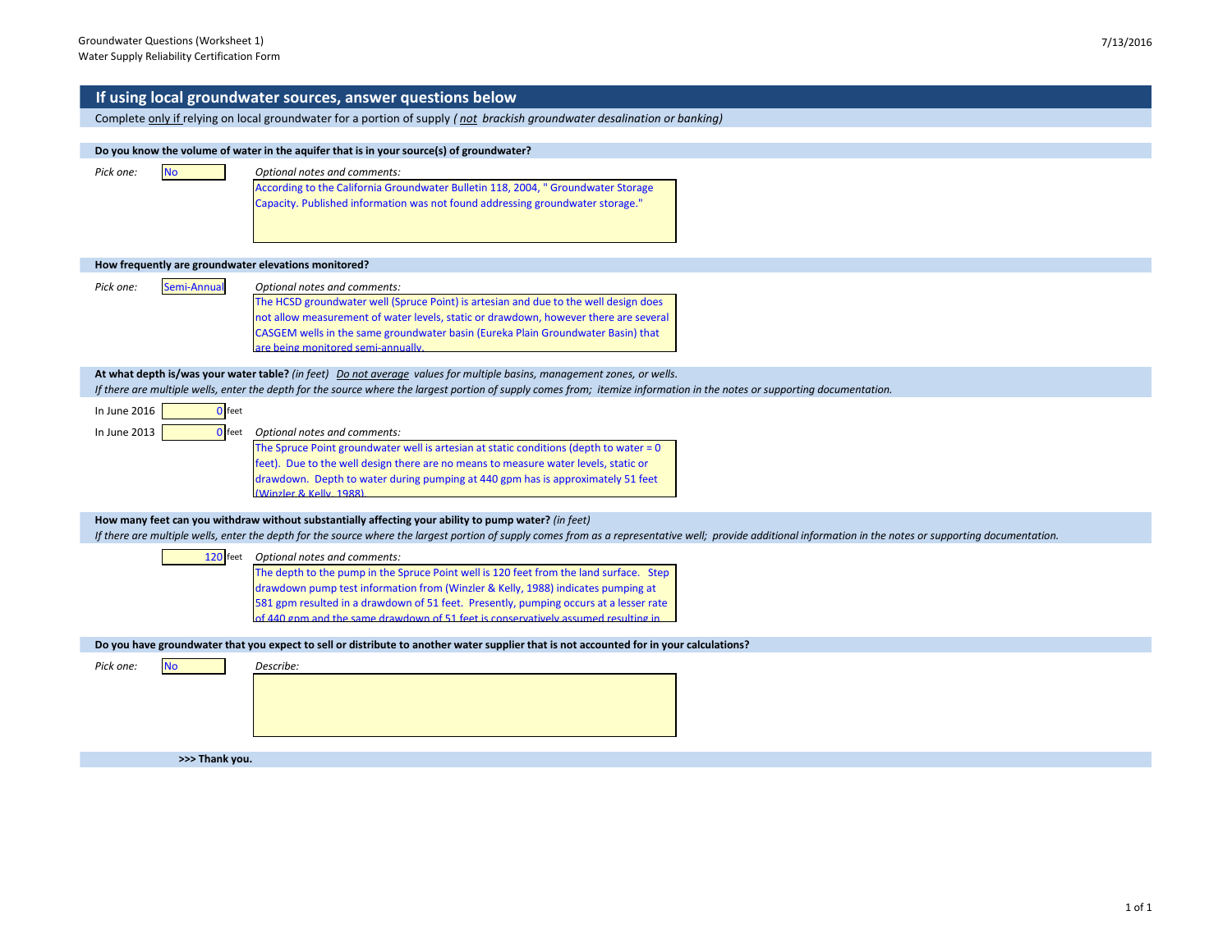|                                                      | If using local groundwater sources, answer questions below                                                                                                                                                    |
|------------------------------------------------------|---------------------------------------------------------------------------------------------------------------------------------------------------------------------------------------------------------------|
|                                                      | Complete only if relying on local groundwater for a portion of supply (not brackish groundwater desalination or banking)                                                                                      |
|                                                      |                                                                                                                                                                                                               |
|                                                      | Do you know the volume of water in the aquifer that is in your source(s) of groundwater?                                                                                                                      |
| Pick one:<br><b>No</b>                               | Optional notes and comments:                                                                                                                                                                                  |
|                                                      | According to the California Groundwater Bulletin 118, 2004, " Groundwater Storage<br>Capacity. Published information was not found addressing groundwater storage."                                           |
|                                                      |                                                                                                                                                                                                               |
|                                                      |                                                                                                                                                                                                               |
|                                                      |                                                                                                                                                                                                               |
| How frequently are groundwater elevations monitored? |                                                                                                                                                                                                               |
| Pick one:<br>Semi-Annual                             | Optional notes and comments:                                                                                                                                                                                  |
|                                                      | The HCSD groundwater well (Spruce Point) is artesian and due to the well design does                                                                                                                          |
|                                                      | not allow measurement of water levels, static or drawdown, however there are several<br>CASGEM wells in the same groundwater basin (Eureka Plain Groundwater Basin) that                                      |
|                                                      | are being monitored semi-annually.                                                                                                                                                                            |
|                                                      | At what depth is/was your water table? (in feet) Do not average values for multiple basins, management zones, or wells.                                                                                       |
|                                                      | If there are multiple wells, enter the depth for the source where the largest portion of supply comes from; itemize information in the notes or supporting documentation.                                     |
| In June 2016<br>0 feet                               |                                                                                                                                                                                                               |
| In June 2013<br>$0$ feet                             | Optional notes and comments:                                                                                                                                                                                  |
|                                                      | The Spruce Point groundwater well is artesian at static conditions (depth to water $= 0$                                                                                                                      |
|                                                      | feet). Due to the well design there are no means to measure water levels, static or                                                                                                                           |
|                                                      | drawdown. Depth to water during pumping at 440 gpm has is approximately 51 feet<br>(Winzler & Kelly, 1988).                                                                                                   |
|                                                      |                                                                                                                                                                                                               |
|                                                      | How many feet can you withdraw without substantially affecting your ability to pump water? (in feet)                                                                                                          |
|                                                      | If there are multiple wells, enter the depth for the source where the largest portion of supply comes from as a representative well; provide additional information in the notes or supporting documentation. |
|                                                      | 120 feet Optional notes and comments:                                                                                                                                                                         |
|                                                      | The depth to the pump in the Spruce Point well is 120 feet from the land surface. Step<br>drawdown pump test information from (Winzler & Kelly, 1988) indicates pumping at                                    |
|                                                      | 581 gpm resulted in a drawdown of 51 feet. Presently, pumping occurs at a lesser rate                                                                                                                         |
|                                                      | of 440 gpm and the same drawdown of 51 feet is conservatively assumed resulting in                                                                                                                            |
|                                                      | Do you have groundwater that you expect to sell or distribute to another water supplier that is not accounted for in your calculations?                                                                       |
| Pick one:<br><b>No</b>                               | Describe:                                                                                                                                                                                                     |
|                                                      |                                                                                                                                                                                                               |
|                                                      |                                                                                                                                                                                                               |
|                                                      |                                                                                                                                                                                                               |
|                                                      |                                                                                                                                                                                                               |
| >>> Thank you.                                       |                                                                                                                                                                                                               |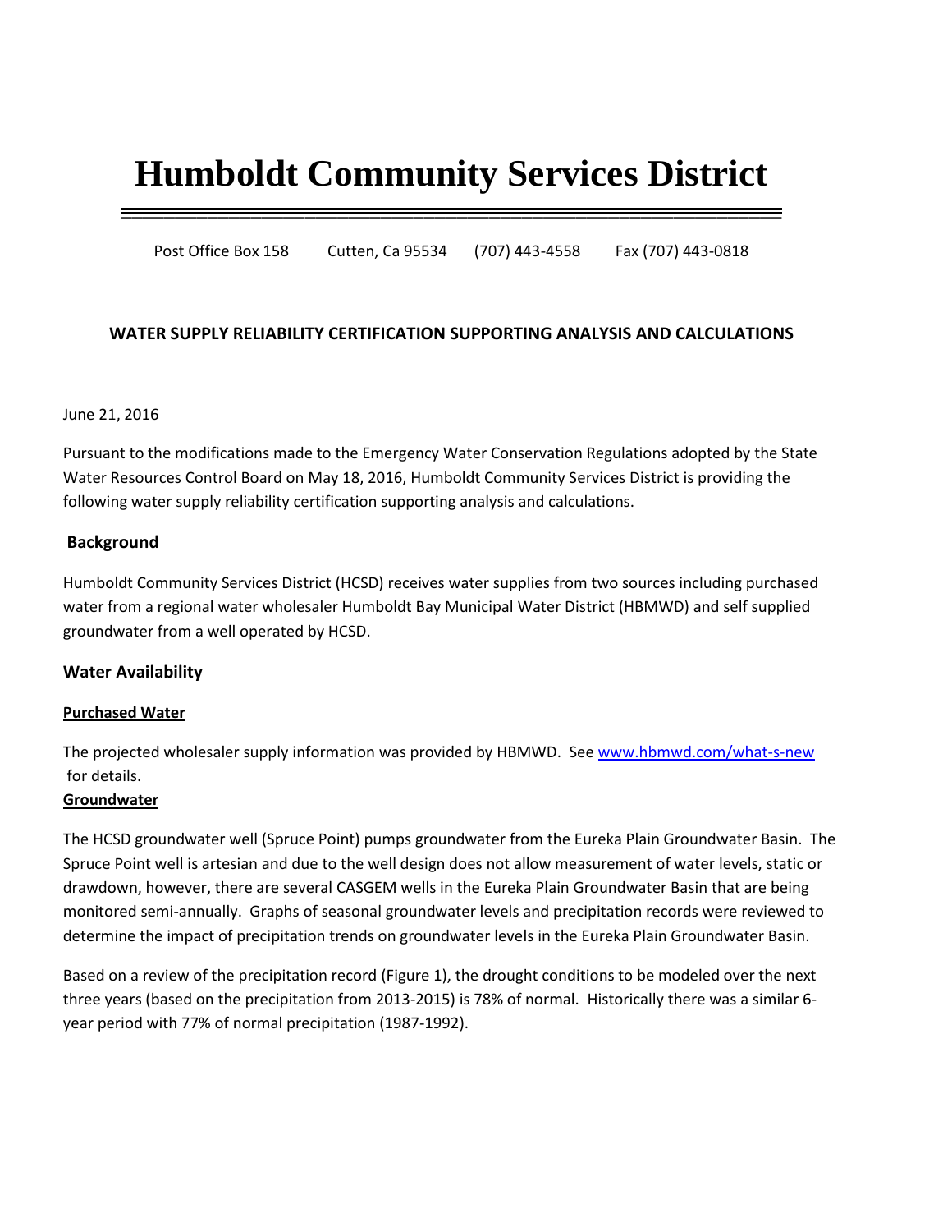# **Humboldt Community Services District**

**\_\_\_\_\_\_\_\_\_\_\_\_\_\_\_\_\_\_\_\_\_\_\_\_\_\_\_\_\_\_\_\_\_\_\_\_\_\_\_\_\_\_\_\_\_\_\_\_\_\_\_\_\_\_\_\_\_\_\_\_\_**

Post Office Box 158 Cutten, Ca 95534 (707) 443-4558 Fax (707) 443-0818

## **WATER SUPPLY RELIABILITY CERTIFICATION SUPPORTING ANALYSIS AND CALCULATIONS**

### June 21, 2016

Pursuant to the modifications made to the Emergency Water Conservation Regulations adopted by the State Water Resources Control Board on May 18, 2016, Humboldt Community Services District is providing the following water supply reliability certification supporting analysis and calculations.

## **Background**

Humboldt Community Services District (HCSD) receives water supplies from two sources including purchased water from a regional water wholesaler Humboldt Bay Municipal Water District (HBMWD) and self supplied groundwater from a well operated by HCSD.

## **Water Availability**

#### **Purchased Water**

The projected wholesaler supply information was provided by HBMWD. Se[e www.hbmwd.com/what-s-new](http://www.hbmwd.com/what-s-new) for details.

#### **Groundwater**

The HCSD groundwater well (Spruce Point) pumps groundwater from the Eureka Plain Groundwater Basin. The Spruce Point well is artesian and due to the well design does not allow measurement of water levels, static or drawdown, however, there are several CASGEM wells in the Eureka Plain Groundwater Basin that are being monitored semi-annually. Graphs of seasonal groundwater levels and precipitation records were reviewed to determine the impact of precipitation trends on groundwater levels in the Eureka Plain Groundwater Basin.

Based on a review of the precipitation record (Figure 1), the drought conditions to be modeled over the next three years (based on the precipitation from 2013-2015) is 78% of normal. Historically there was a similar 6 year period with 77% of normal precipitation (1987-1992).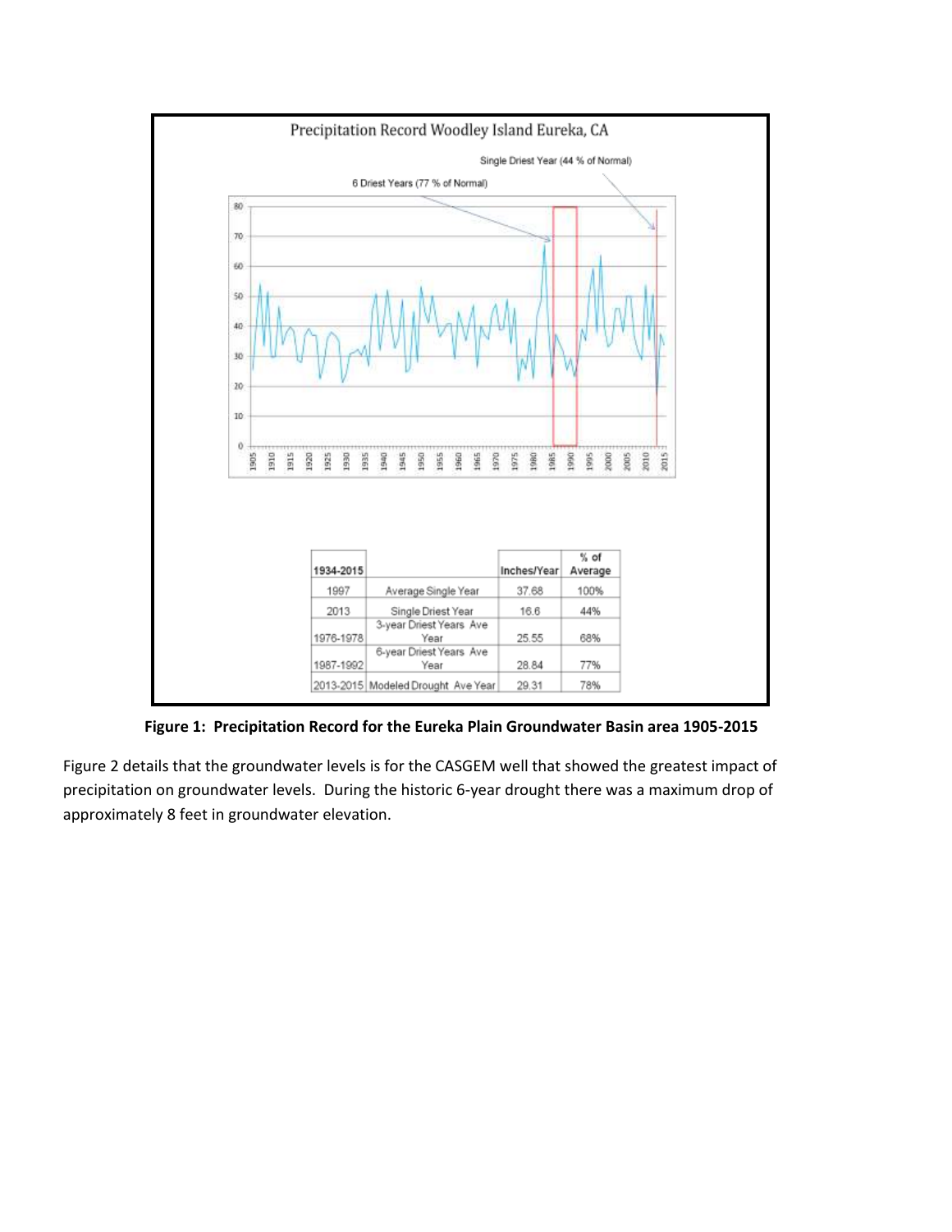

**Figure 1: Precipitation Record for the Eureka Plain Groundwater Basin area 1905-2015**

Figure 2 details that the groundwater levels is for the CASGEM well that showed the greatest impact of precipitation on groundwater levels. During the historic 6-year drought there was a maximum drop of approximately 8 feet in groundwater elevation.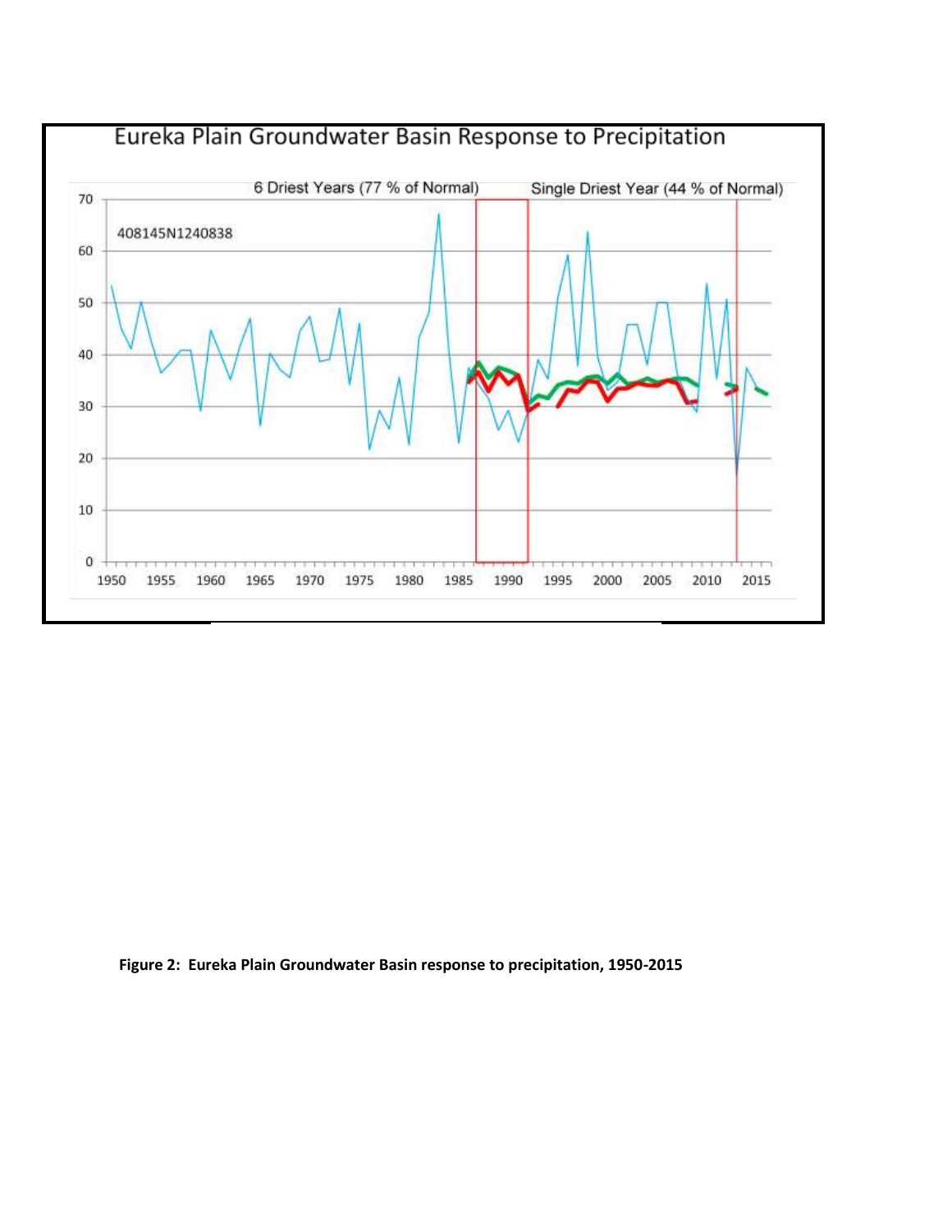

**Figure 2: Eureka Plain Groundwater Basin response to precipitation, 1950-2015**